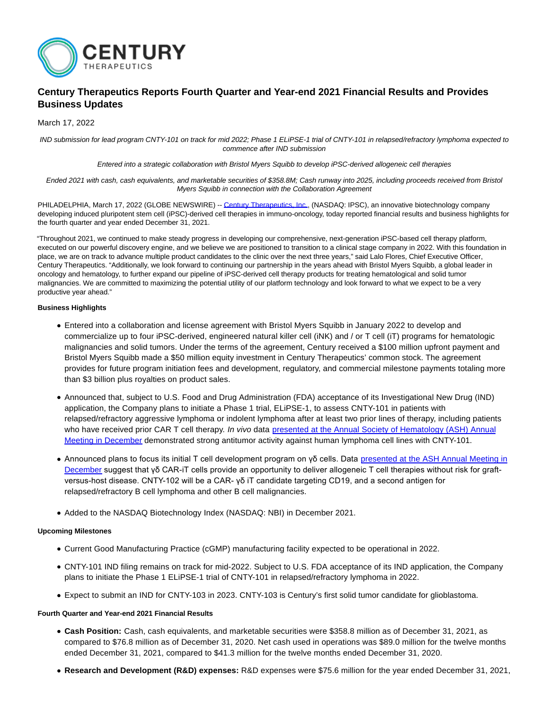

# **Century Therapeutics Reports Fourth Quarter and Year-end 2021 Financial Results and Provides Business Updates**

### March 17, 2022

IND submission for lead program CNTY-101 on track for mid 2022; Phase 1 ELiPSE-1 trial of CNTY-101 in relapsed/refractory lymphoma expected to commence after IND submission

Entered into a strategic collaboration with Bristol Myers Squibb to develop iPSC-derived allogeneic cell therapies

Ended 2021 with cash, cash equivalents, and marketable securities of \$358.8M; Cash runway into 2025, including proceeds received from Bristol Myers Squibb in connection with the Collaboration Agreement

PHILADELPHIA, March 17, 2022 (GLOBE NEWSWIRE) -- [Century Therapeutics, Inc.,](https://www.globenewswire.com/Tracker?data=wvOuqipaCYFAFiB2XHyTKV9DQupRlWUl3aRMOEVVuIUKdRwyX4uLBBECrmvS9x-re2z-Is_tF4H5LChNftmsK3o5lebwvJU-LzoInN2AeG8=) (NASDAQ: IPSC), an innovative biotechnology company developing induced pluripotent stem cell (iPSC)-derived cell therapies in immuno-oncology, today reported financial results and business highlights for the fourth quarter and year ended December 31, 2021.

"Throughout 2021, we continued to make steady progress in developing our comprehensive, next-generation iPSC-based cell therapy platform, executed on our powerful discovery engine, and we believe we are positioned to transition to a clinical stage company in 2022. With this foundation in place, we are on track to advance multiple product candidates to the clinic over the next three years," said Lalo Flores, Chief Executive Officer, Century Therapeutics. "Additionally, we look forward to continuing our partnership in the years ahead with Bristol Myers Squibb, a global leader in oncology and hematology, to further expand our pipeline of iPSC-derived cell therapy products for treating hematological and solid tumor malignancies. We are committed to maximizing the potential utility of our platform technology and look forward to what we expect to be a very productive year ahead."

#### **Business Highlights**

- Entered into a collaboration and license agreement with Bristol Myers Squibb in January 2022 to develop and commercialize up to four iPSC-derived, engineered natural killer cell (iNK) and / or T cell (iT) programs for hematologic malignancies and solid tumors. Under the terms of the agreement, Century received a \$100 million upfront payment and Bristol Myers Squibb made a \$50 million equity investment in Century Therapeutics' common stock. The agreement provides for future program initiation fees and development, regulatory, and commercial milestone payments totaling more than \$3 billion plus royalties on product sales.
- Announced that, subject to U.S. Food and Drug Administration (FDA) acceptance of its Investigational New Drug (IND) application, the Company plans to initiate a Phase 1 trial, ELiPSE-1, to assess CNTY-101 in patients with relapsed/refractory aggressive lymphoma or indolent lymphoma after at least two prior lines of therapy, including patients who have received prior CAR T cell therapy. In vivo data [presented at the Annual Society of Hematology \(ASH\) Annual](https://investors.centurytx.com/news-releases/news-release-details/century-therapeutics-announces-presentation-data-63rd-american) Meeting in December demonstrated strong antitumor activity against human lymphoma cell lines with CNTY-101.
- Announced plans to focus its initial T cell development program on γδ cells. Data [presented at the ASH Annual Meeting in](https://investors.centurytx.com/news-releases/news-release-details/century-therapeutics-announces-presentation-data-63rd-american) December suggest that γδ CAR-iT cells provide an opportunity to deliver allogeneic T cell therapies without risk for graftversus-host disease. CNTY-102 will be a CAR- γδ iT candidate targeting CD19, and a second antigen for relapsed/refractory B cell lymphoma and other B cell malignancies.
- Added to the NASDAQ Biotechnology Index (NASDAQ: NBI) in December 2021.

#### **Upcoming Milestones**

- Current Good Manufacturing Practice (cGMP) manufacturing facility expected to be operational in 2022.
- CNTY-101 IND filing remains on track for mid-2022. Subject to U.S. FDA acceptance of its IND application, the Company plans to initiate the Phase 1 ELiPSE-1 trial of CNTY-101 in relapsed/refractory lymphoma in 2022.
- Expect to submit an IND for CNTY-103 in 2023. CNTY-103 is Century's first solid tumor candidate for glioblastoma.

#### **Fourth Quarter and Year-end 2021 Financial Results**

- **Cash Position:** Cash, cash equivalents, and marketable securities were \$358.8 million as of December 31, 2021, as compared to \$76.8 million as of December 31, 2020. Net cash used in operations was \$89.0 million for the twelve months ended December 31, 2021, compared to \$41.3 million for the twelve months ended December 31, 2020.
- **Research and Development (R&D) expenses:** R&D expenses were \$75.6 million for the year ended December 31, 2021,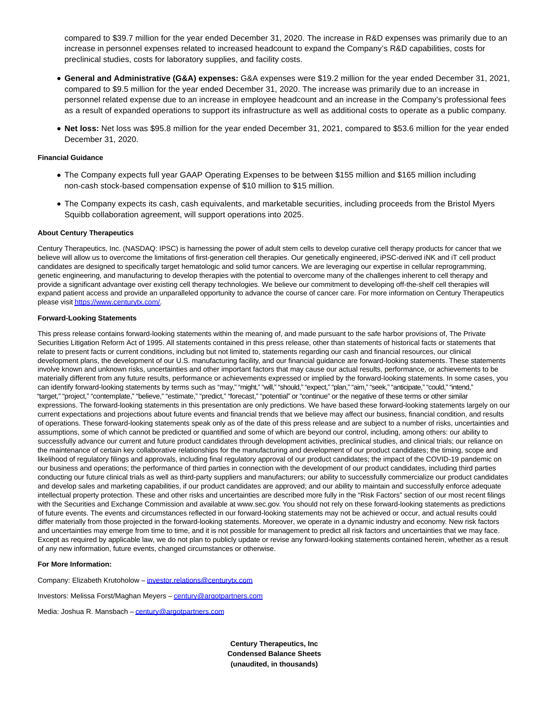compared to \$39.7 million for the year ended December 31, 2020. The increase in R&D expenses was primarily due to an increase in personnel expenses related to increased headcount to expand the Company's R&D capabilities, costs for preclinical studies, costs for laboratory supplies, and facility costs.

- **General and Administrative (G&A) expenses:** G&A expenses were \$19.2 million for the year ended December 31, 2021, compared to \$9.5 million for the year ended December 31, 2020. The increase was primarily due to an increase in personnel related expense due to an increase in employee headcount and an increase in the Company's professional fees as a result of expanded operations to support its infrastructure as well as additional costs to operate as a public company.
- **Net loss:** Net loss was \$95.8 million for the year ended December 31, 2021, compared to \$53.6 million for the year ended December 31, 2020.

#### **Financial Guidance**

- The Company expects full year GAAP Operating Expenses to be between \$155 million and \$165 million including non-cash stock-based compensation expense of \$10 million to \$15 million.
- The Company expects its cash, cash equivalents, and marketable securities, including proceeds from the Bristol Myers Squibb collaboration agreement, will support operations into 2025.

#### **About Century Therapeutics**

Century Therapeutics, Inc. (NASDAQ: IPSC) is harnessing the power of adult stem cells to develop curative cell therapy products for cancer that we believe will allow us to overcome the limitations of first-generation cell therapies. Our genetically engineered, iPSC-derived iNK and iT cell product candidates are designed to specifically target hematologic and solid tumor cancers. We are leveraging our expertise in cellular reprogramming, genetic engineering, and manufacturing to develop therapies with the potential to overcome many of the challenges inherent to cell therapy and provide a significant advantage over existing cell therapy technologies. We believe our commitment to developing off-the-shelf cell therapies will expand patient access and provide an unparalleled opportunity to advance the course of cancer care. For more information on Century Therapeutics please visi[t https://www.centurytx.com/.](https://www.globenewswire.com/Tracker?data=7Ttc87AbKt1yDc1l0Me26KLL3GJYr_hkJt1KYDAEQpO78ay4zb4DDpmtYWxBzkyyvZpP-ygL5dWz2k3LcO25rIJD_mBCeaVLpWCzwH_aIR0=)

#### **Forward-Looking Statements**

This press release contains forward-looking statements within the meaning of, and made pursuant to the safe harbor provisions of, The Private Securities Litigation Reform Act of 1995. All statements contained in this press release, other than statements of historical facts or statements that relate to present facts or current conditions, including but not limited to, statements regarding our cash and financial resources, our clinical development plans, the development of our U.S. manufacturing facility, and our financial guidance are forward-looking statements. These statements involve known and unknown risks, uncertainties and other important factors that may cause our actual results, performance, or achievements to be materially different from any future results, performance or achievements expressed or implied by the forward-looking statements. In some cases, you can identify forward-looking statements by terms such as "may," "might," "will," "should," "expect," "plan," "aim," "seek," "anticipate," "could," "intend," "target," "project," "contemplate," "believe," "estimate," "predict," "forecast," "potential" or "continue" or the negative of these terms or other similar expressions. The forward-looking statements in this presentation are only predictions. We have based these forward-looking statements largely on our current expectations and projections about future events and financial trends that we believe may affect our business, financial condition, and results of operations. These forward-looking statements speak only as of the date of this press release and are subject to a number of risks, uncertainties and assumptions, some of which cannot be predicted or quantified and some of which are beyond our control, including, among others: our ability to successfully advance our current and future product candidates through development activities, preclinical studies, and clinical trials; our reliance on the maintenance of certain key collaborative relationships for the manufacturing and development of our product candidates; the timing, scope and likelihood of regulatory filings and approvals, including final regulatory approval of our product candidates; the impact of the COVID-19 pandemic on our business and operations; the performance of third parties in connection with the development of our product candidates, including third parties conducting our future clinical trials as well as third-party suppliers and manufacturers; our ability to successfully commercialize our product candidates and develop sales and marketing capabilities, if our product candidates are approved; and our ability to maintain and successfully enforce adequate intellectual property protection. These and other risks and uncertainties are described more fully in the "Risk Factors" section of our most recent filings with the Securities and Exchange Commission and available at www.sec.gov. You should not rely on these forward-looking statements as predictions of future events. The events and circumstances reflected in our forward-looking statements may not be achieved or occur, and actual results could differ materially from those projected in the forward-looking statements. Moreover, we operate in a dynamic industry and economy. New risk factors and uncertainties may emerge from time to time, and it is not possible for management to predict all risk factors and uncertainties that we may face. Except as required by applicable law, we do not plan to publicly update or revise any forward-looking statements contained herein, whether as a result of any new information, future events, changed circumstances or otherwise.

#### **For More Information:**

Company: Elizabeth Krutoholow [– investor.relations@centurytx.com](https://www.globenewswire.com/Tracker?data=ibLzjHUmDa_YeECPwDyLAerXpEm0GRYDlHgTIaR7EPzx8LXrBowwDTyFzti3LQi1jrClOYat5KJibXvfO64XUgW4f4BMf2V5Fkvy7eLRp5UXGkVnd9_duLLCpsR3X3RM)

Investors: Melissa Forst/Maghan Meyers - century@argotpartners.com

Media: Joshua R. Mansbach [– century@argotpartners.com](https://www.globenewswire.com/Tracker?data=Cm3FiLrZ9b4HpdpXEBtPYpDdYo9XFJzekcVgp5Ea9bh-NWcKqCztmW1MyDEQbwnlwuqBUrH-GDNXaGr40pqp_n6Yk1BkI5qM3-DS2DNZTdQ=)

**Century Therapeutics, Inc Condensed Balance Sheets (unaudited, in thousands)**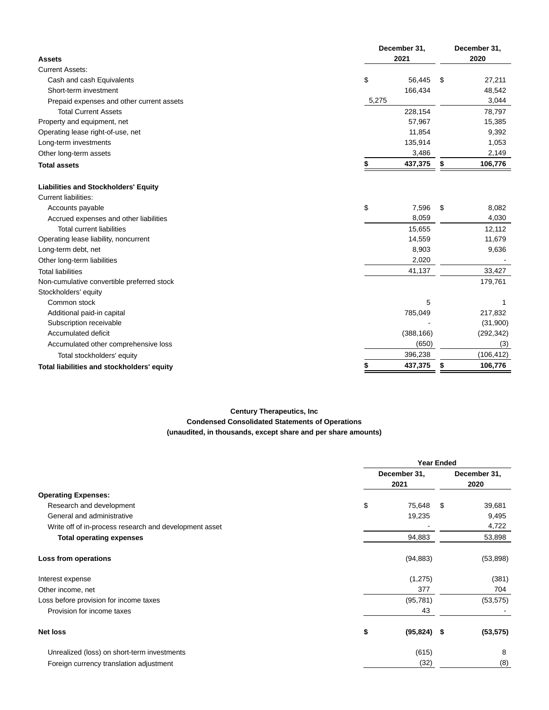| December 31,                                |       | December 31, |    |            |
|---------------------------------------------|-------|--------------|----|------------|
| <b>Assets</b>                               | 2021  |              |    | 2020       |
| <b>Current Assets:</b>                      |       |              |    |            |
| Cash and cash Equivalents                   | \$    | 56,445       | \$ | 27,211     |
| Short-term investment                       |       | 166,434      |    | 48,542     |
| Prepaid expenses and other current assets   | 5,275 |              |    | 3,044      |
| <b>Total Current Assets</b>                 |       | 228,154      |    | 78,797     |
| Property and equipment, net                 |       | 57,967       |    | 15,385     |
| Operating lease right-of-use, net           |       | 11,854       |    | 9,392      |
| Long-term investments                       |       | 135,914      |    | 1,053      |
| Other long-term assets                      |       | 3,486        |    | 2,149      |
| <b>Total assets</b>                         | \$    | 437,375      | \$ | 106,776    |
| <b>Liabilities and Stockholders' Equity</b> |       |              |    |            |
| <b>Current liabilities:</b>                 |       |              |    |            |
| Accounts payable                            | \$    | 7,596        | \$ | 8,082      |
| Accrued expenses and other liabilities      |       | 8,059        |    | 4,030      |
| <b>Total current liabilities</b>            |       | 15,655       |    | 12,112     |
| Operating lease liability, noncurrent       |       | 14,559       |    | 11,679     |
| Long-term debt, net                         |       | 8,903        |    | 9,636      |
| Other long-term liabilities                 |       | 2,020        |    |            |
| <b>Total liabilities</b>                    |       | 41,137       |    | 33,427     |
| Non-cumulative convertible preferred stock  |       |              |    | 179,761    |
| Stockholders' equity                        |       |              |    |            |
| Common stock                                |       | 5            |    |            |
| Additional paid-in capital                  |       | 785,049      |    | 217,832    |
| Subscription receivable                     |       |              |    | (31,900)   |
| Accumulated deficit                         |       | (388, 166)   |    | (292, 342) |
| Accumulated other comprehensive loss        |       | (650)        |    | (3)        |
| Total stockholders' equity                  |       | 396,238      |    | (106, 412) |
| Total liabilities and stockholders' equity  |       | 437,375      |    | 106,776    |

## **Century Therapeutics, Inc Condensed Consolidated Statements of Operations (unaudited, in thousands, except share and per share amounts)**

|                                                        | <b>Year Ended</b>    |     |                      |  |
|--------------------------------------------------------|----------------------|-----|----------------------|--|
|                                                        | December 31,<br>2021 |     | December 31,<br>2020 |  |
| <b>Operating Expenses:</b>                             |                      |     |                      |  |
| Research and development                               | \$<br>75,648         | -\$ | 39,681               |  |
| General and administrative                             | 19,235               |     | 9,495                |  |
| Write off of in-process research and development asset |                      |     | 4,722                |  |
| <b>Total operating expenses</b>                        | 94,883               |     | 53,898               |  |
| Loss from operations                                   | (94, 883)            |     | (53, 898)            |  |
| Interest expense                                       | (1,275)              |     | (381)                |  |
| Other income, net                                      | 377                  |     | 704                  |  |
| Loss before provision for income taxes                 | (95, 781)            |     | (53, 575)            |  |
| Provision for income taxes                             | 43                   |     |                      |  |
| <b>Net loss</b>                                        | \$<br>$(95,824)$ \$  |     | (53, 575)            |  |
| Unrealized (loss) on short-term investments            | (615)                |     | 8                    |  |
| Foreign currency translation adjustment                | (32)                 |     | (8)                  |  |